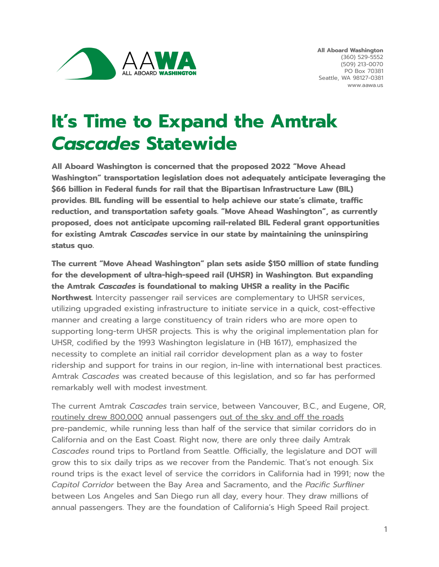

## **It' s Time to Expand the Amtrak** *Cascades* **Statewide**

**All Aboard Washington is concerned that the proposed 2022 "Move Ahead Washington" transportation legislation does not adequately anticipate leveraging the \$66 billion in Federal funds for rail that the Bipartisan Infrastructure Law (BIL) provides. BIL funding will be essential to help achieve our state's climate, traffic reduction, and transportation safety goals. "Move Ahead Washington", as currently proposed, does not anticipate upcoming rail-related BIL Federal grant opportunities for existing Amtrak** *Cascades* **service in our state by maintaining the uninspiring status quo.**

**The current "Move Ahead Washington" plan sets aside \$150 million of state funding for the development of ultra-high-speed rail (UHSR) in Washington. But expanding the Amtrak** *Cascades* **is foundational to making UHSR a reality in the Pacific Northwest.** Intercity passenger rail services are complementary to UHSR services, utilizing upgraded existing infrastructure to initiate service in a quick, cost-effective manner and creating a large constituency of train riders who are more open to supporting long-term UHSR projects. This is why the original implementation plan for UHSR, codified by the 1993 Washington legislature in (HB 1617), emphasized the necessity to complete an initial rail corridor development plan as a way to foster ridership and support for trains in our region, in-line with international best practices. Amtrak *Cascades* was created because of this legislation, and so far has performed remarkably well with modest investment.

The current Amtrak *Cascades* train service, between Vancouver, B.C., and Eugene, OR, [routinely](https://www.railpassengers.org/site/assets/files/3472/36.pdf) drew 800,000 annual passengers out of the sky and off the [roads](https://www.amtrak.com/content/dam/projects/dotcom/english/public/documents/corporate/stateeconomicimpactbrochures/Washington-fy16.pdf) pre-pandemic, while running less than half of the service that similar corridors do in California and on the East Coast. Right now, there are only three daily Amtrak *Cascades* round trips to Portland from Seattle. Officially, the legislature and DOT will grow this to six daily trips as we recover from the Pandemic. That's not enough. Six round trips is the exact level of service the corridors in California had in 1991; now the *Capitol Corridor* between the Bay Area and Sacramento, and the *Pacific Surfliner* between Los Angeles and San Diego run all day, every hour. They draw millions of annual passengers. They are the foundation of California's High Speed Rail project.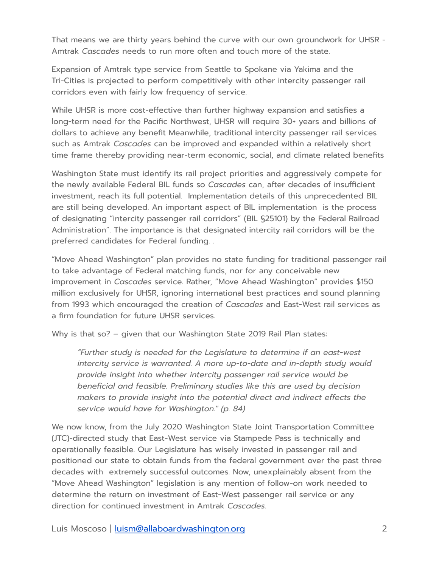That means we are thirty years behind the curve with our own groundwork for UHSR - Amtrak *Cascades* needs to run more often and touch more of the state.

Expansion of Amtrak type service from Seattle to Spokane via Yakima and the Tri-Cities is projected to perform competitively with other intercity passenger rail corridors even with fairly low frequency of service.

While UHSR is more cost-effective than further highway expansion and satisfies a long-term need for the Pacific Northwest, UHSR will require 30+ years and billions of dollars to achieve any benefit Meanwhile, traditional intercity passenger rail services such as Amtrak *Cascades* can be improved and expanded within a relatively short time frame thereby providing near-term economic, social, and climate related benefits

Washington State must identify its rail project priorities and aggressively compete for the newly available Federal BIL funds so *Cascades* can, after decades of insufficient investment, reach its full potential. Implementation details of this unprecedented BIL are still being developed. An important aspect of BIL implementation is the process of designating "intercity passenger rail corridors" (BIL §25101) by the Federal Railroad Administration". The importance is that designated intercity rail corridors will be the preferred candidates for Federal funding. .

"Move Ahead Washington" plan provides no state funding for traditional passenger rail to take advantage of Federal matching funds, nor for any conceivable new improvement in *Cascades* service. Rather, "Move Ahead Washington" provides \$150 million exclusively for UHSR, ignoring international best practices and sound planning from 1993 which encouraged the creation of *Cascades* and East-West rail services as a firm foundation for future UHSR services.

Why is that so? – given that our Washington State 2019 Rail Plan states:

*"Further study is needed for the Legislature to determine if an east-west intercity service is warranted. A more up-to-date and in-depth study would provide insight into whether intercity passenger rail service would be beneficial and feasible. Preliminary studies like this are used by decision makers to provide insight into the potential direct and indirect effects the service would have for Washington." (p. 84)*

We now know, from the July 2020 Washington State Joint Transportation Committee (JTC)-directed study that East-West service via Stampede Pass is technically and operationally feasible. Our Legislature has wisely invested in passenger rail and positioned our state to obtain funds from the federal government over the past three decades with extremely successful outcomes. Now, unexplainably absent from the "Move Ahead Washington" legislation is any mention of follow-on work needed to determine the return on investment of East-West passenger rail service or any direction for continued investment in Amtrak *Cascades*.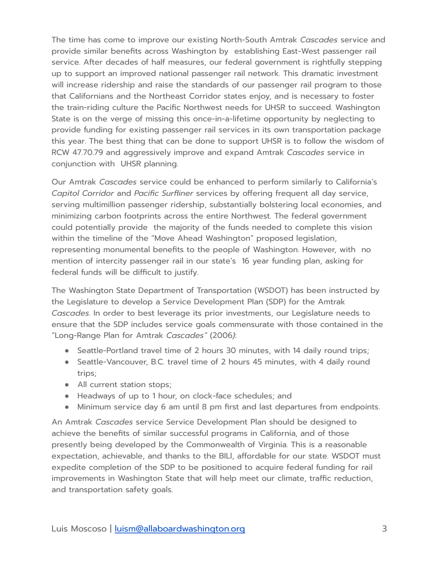The time has come to improve our existing North-South Amtrak *Cascades* service and provide similar benefits across Washington by establishing East-West passenger rail service. After decades of half measures, our federal government is rightfully stepping up to support an improved national passenger rail network. This dramatic investment will increase ridership and raise the standards of our passenger rail program to those that Californians and the Northeast Corridor states enjoy, and is necessary to foster the train-riding culture the Pacific Northwest needs for UHSR to succeed. Washington State is on the verge of missing this once-in-a-lifetime opportunity by neglecting to provide funding for existing passenger rail services in its own transportation package this year. The best thing that can be done to support UHSR is to follow the wisdom of RCW 47.70.79 and aggressively improve and expand Amtrak *Cascades* service in conjunction with UHSR planning.

Our Amtrak *Cascades* service could be enhanced to perform similarly to California's *Capitol Corridor* and *Pacific Surfliner* services by offering frequent all day service, serving multimillion passenger ridership, substantially bolstering local economies, and minimizing carbon footprints across the entire Northwest. The federal government could potentially provide the majority of the funds needed to complete this vision within the timeline of the "Move Ahead Washington" proposed legislation, representing monumental benefits to the people of Washington. However, with no mention of intercity passenger rail in our state's 16 year funding plan, asking for federal funds will be difficult to justify.

The Washington State Department of Transportation (WSDOT) has been instructed by the Legislature to develop a Service Development Plan (SDP) for the Amtrak *Cascades*. In order to best leverage its prior investments, our Legislature needs to ensure that the SDP includes service goals commensurate with those contained in the "Long-Range Plan for Amtrak *Cascades"* (2006*)*:

- Seattle-Portland travel time of 2 hours 30 minutes, with 14 daily round trips;
- Seattle-Vancouver, B.C. travel time of 2 hours 45 minutes, with 4 daily round trips;
- All current station stops;
- Headways of up to 1 hour, on clock-face schedules; and
- Minimum service day 6 am until 8 pm first and last departures from endpoints.

An Amtrak *Cascades* service Service Development Plan should be designed to achieve the benefits of similar successful programs in California, and of those presently being developed by the Commonwealth of Virginia. This is a reasonable expectation, achievable, and thanks to the BILl, affordable for our state. WSDOT must expedite completion of the SDP to be positioned to acquire federal funding for rail improvements in Washington State that will help meet our climate, traffic reduction, and transportation safety goals.